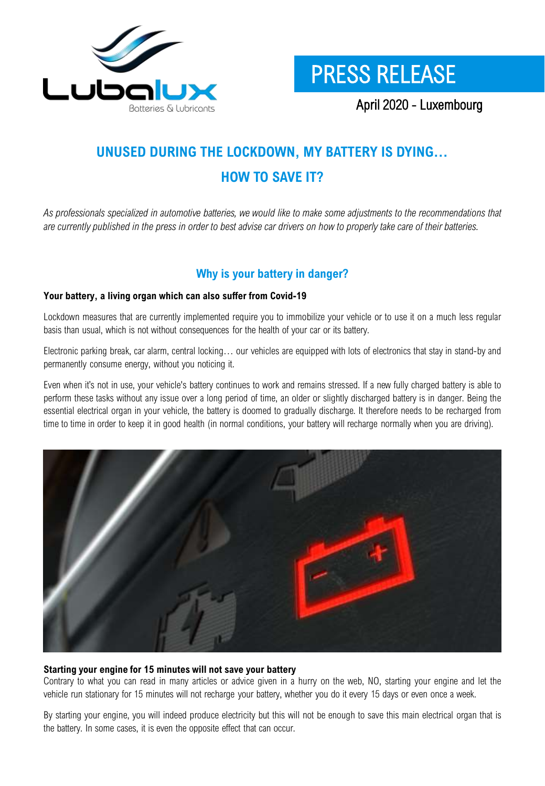



April 2020 - Luxembourg

# **UNUSED DURING THE LOCKDOWN, MY BATTERY IS DYING… HOW TO SAVE IT?**

As professionals specialized in automotive batteries, we would like to make some adjustments to the recommendations that are currently published in the press in order to best advise car drivers on how to properly take care of their batteries.

# **Why is your battery in danger?**

#### **Your battery, a living organ which can also suffer from Covid-19**

Lockdown measures that are currently implemented require you to immobilize your vehicle or to use it on a much less regular basis than usual, which is not without consequences for the health of your car or its battery.

Electronic parking break, car alarm, central locking… our vehicles are equipped with lots of electronics that stay in stand-by and permanently consume energy, without you noticing it.

Even when it's not in use, your vehicle's battery continues to work and remains stressed. If a new fully charged battery is able to perform these tasks without any issue over a long period of time, an older or slightly discharged battery is in danger. Being the essential electrical organ in your vehicle, the battery is doomed to gradually discharge. It therefore needs to be recharged from time to time in order to keep it in good health (in normal conditions, your battery will recharge normally when you are driving).



#### **Starting your engine for 15 minutes will not save your battery**

Contrary to what you can read in many articles or advice given in a hurry on the web, NO, starting your engine and let the vehicle run stationary for 15 minutes will not recharge your battery, whether you do it every 15 days or even once a week.

By starting your engine, you will indeed produce electricity but this will not be enough to save this main electrical organ that is the battery. In some cases, it is even the opposite effect that can occur.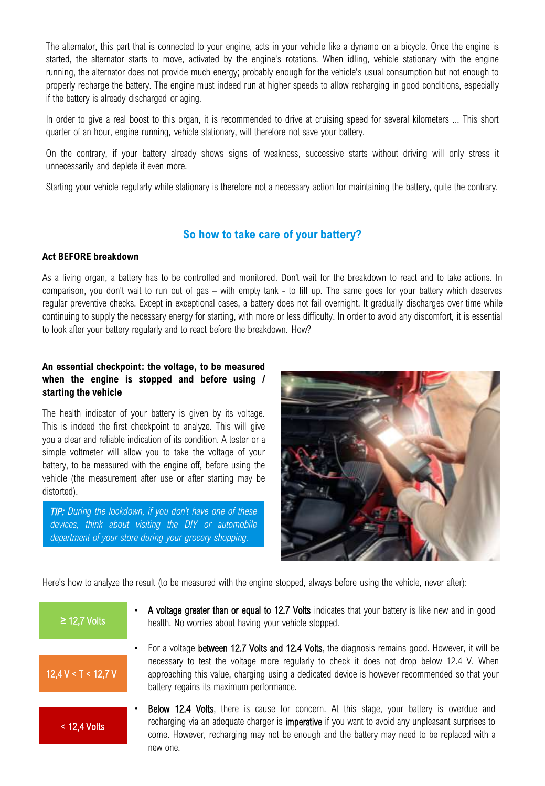The alternator, this part that is connected to your engine, acts in your vehicle like a dynamo on a bicycle. Once the engine is started, the alternator starts to move, activated by the engine's rotations. When idling, vehicle stationary with the engine running, the alternator does not provide much energy; probably enough for the vehicle's usual consumption but not enough to properly recharge the battery. The engine must indeed run at higher speeds to allow recharging in good conditions, especially if the battery is already discharged or aging.

In order to give a real boost to this organ, it is recommended to drive at cruising speed for several kilometers ... This short quarter of an hour, engine running, vehicle stationary, will therefore not save your battery.

On the contrary, if your battery already shows signs of weakness, successive starts without driving will only stress it unnecessarily and deplete it even more.

Starting your vehicle regularly while stationary is therefore not a necessary action for maintaining the battery, quite the contrary.

# **So how to take care of your battery?**

#### **Act BEFORE breakdown**

As a living organ, a battery has to be controlled and monitored. Don't wait for the breakdown to react and to take actions. In comparison, you don't wait to run out of gas – with empty tank - to fill up. The same goes for your battery which deserves regular preventive checks. Except in exceptional cases, a battery does not fail overnight. It gradually discharges over time while continuing to supply the necessary energy for starting, with more or less difficulty. In order to avoid any discomfort, it is essential to look after your battery regularly and to react before the breakdown. How?

#### **An essential checkpoint: the voltage, to be measured when the engine is stopped and before using / starting the vehicle**

The health indicator of your battery is given by its voltage. This is indeed the first checkpoint to analyze. This will give you a clear and reliable indication of its condition. A tester or a simple voltmeter will allow you to take the voltage of your battery, to be measured with the engine off, before using the vehicle (the measurement after use or after starting may be distorted).

*TIP: During the lockdown, if you don't have one of these devices, think about visiting the DIY or automobile department of your store during your grocery shopping.*



Here's how to analyze the result (to be measured with the engine stopped, always before using the vehicle, never after):



- A voltage greater than or equal to 12.7 Volts indicates that your battery is like new and in good **≥** health. No worries about having your vehicle stopped.
- For a voltage between 12.7 Volts and 12.4 Volts, the diagnosis remains good. However, it will be necessary to test the voltage more regularly to check it does not drop below 12.4 V. When approaching this value, charging using a dedicated device is however recommended so that your battery regains its maximum performance.
- **Below 12.4 Volts**, there is cause for concern. At this stage, your battery is overdue and recharging via an adequate charger is imperative if you want to avoid any unpleasant surprises to come. However, recharging may not be enough and the battery may need to be replaced with a new one.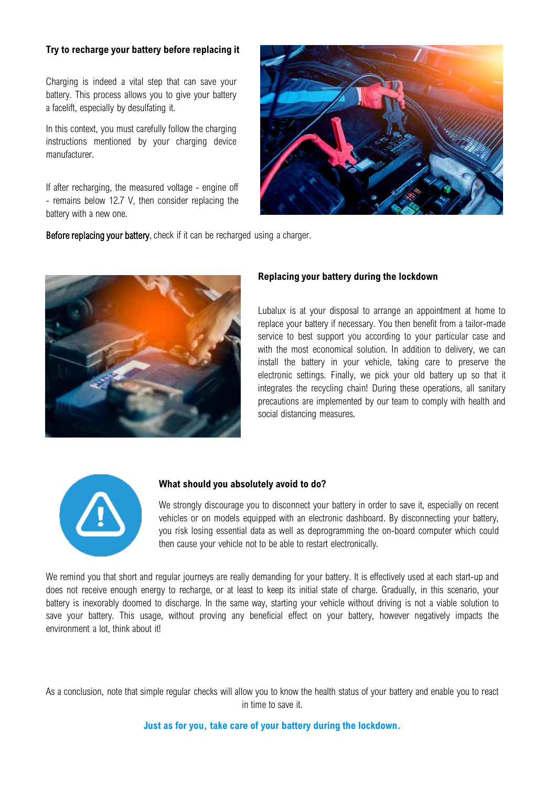#### **Try to recharge your battery before replacing it**

Charging is indeed a vital step that can save your battery. This process allows you to give your battery a facelift, especially by desulfating it.

In this context, you must carefully follow the charging instructions mentioned by your charging device manufacturer.

If after recharging, the measured voltage - engine off - remains below 12.7 V, then consider replacing the battery with a new one.



Before replacing your battery, check if it can be recharged using a charger.



#### **Replacing your battery during the lockdown**

Lubalux is at your disposal to arrange an appointment at home to replace your battery if necessary. You then benefit from a tailor-made service to best support you according to your particular case and with the most economical solution. In addition to delivery, we can install the battery in your vehicle, taking care to preserve the electronic settings. Finally, we pick your old battery up so that it integrates the recycling chain! During these operations, all sanitary precautions are implemented by our team to comply with health and social distancing measures.



#### **What should you absolutely avoid to do?**

We strongly discourage you to disconnect your battery in order to save it, especially on recent vehicles or on models equipped with an electronic dashboard. By disconnecting your battery, you risk losing essential data as well as deprogramming the on-board computer which could then cause your vehicle not to be able to restart electronically.

We remind you that short and regular journeys are really demanding for your battery. It is effectively used at each start-up and does not receive enough energy to recharge, or at least to keep its initial state of charge. Gradually, in this scenario, your battery is inexorably doomed to discharge. In the same way, starting your vehicle without driving is not a viable solution to save your battery. This usage, without proving any beneficial effect on your battery, however negatively impacts the environment a lot, think about it!

As a conclusion, note that simple regular checks will allow you to know the health status of your battery and enable you to react in time to save it.